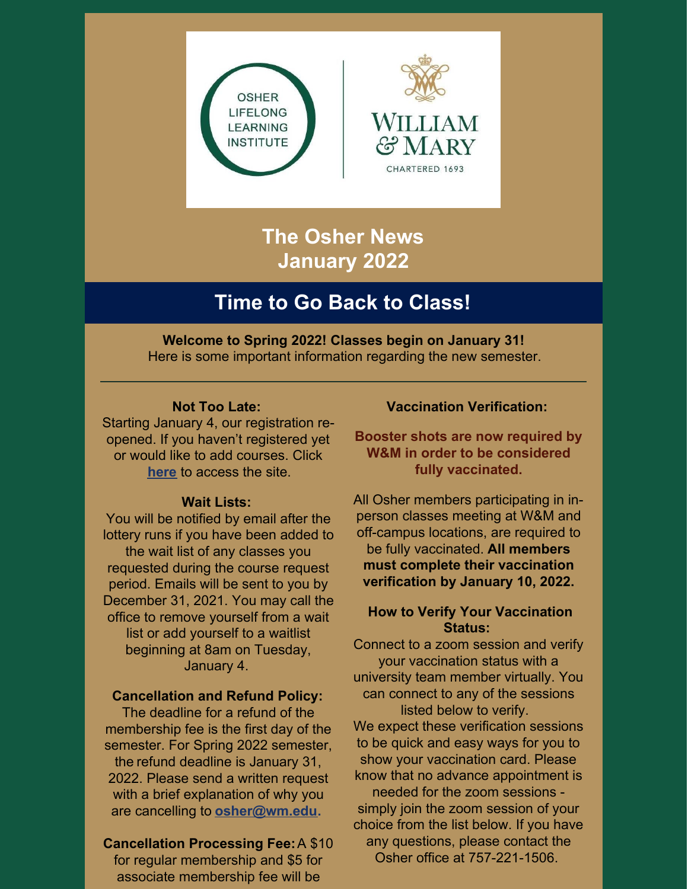



# **The Osher News January 2022**

## **Time to Go Back to Class!**

**Welcome to Spring 2022! Classes begin on January 31!** Here is some important information regarding the new semester.

#### **Not Too Late:**

Starting January 4, our registration reopened. If you haven't registered yet or would like to add courses. Click **[here](https://wm.irisregistration.com/Form/OSH2022REGSPR)** to access the site.

#### **Wait Lists:**

You will be notified by email after the lottery runs if you have been added to the wait list of any classes you requested during the course request period. Emails will be sent to you by December 31, 2021. You may call the office to remove yourself from a wait list or add yourself to a waitlist beginning at 8am on Tuesday, January 4.

#### **Cancellation and Refund Policy:**

The deadline for a refund of the membership fee is the first day of the semester. For Spring 2022 semester, the refund deadline is January 31, 2022. Please send a written request with a brief explanation of why you are cancelling to **[osher@wm.edu.](mailto:osher@wm.edu)**

### **Cancellation Processing Fee:**A \$10

for regular membership and \$5 for associate membership fee will be

### **Vaccination Verification:**

**Booster shots are now required by W&M in order to be considered fully vaccinated.**

All Osher members participating in inperson classes meeting at W&M and off-campus locations, are required to be fully vaccinated. **All members must complete their vaccination verification by January 10, 2022.**

#### **How to Verify Your Vaccination Status:**

Connect to a zoom session and verify your vaccination status with a university team member virtually. You can connect to any of the sessions listed below to verify. We expect these verification sessions to be quick and easy ways for you to show your vaccination card. Please know that no advance appointment is needed for the zoom sessions simply join the zoom session of your choice from the list below. If you have any questions, please contact the

Osher office at 757-221-1506.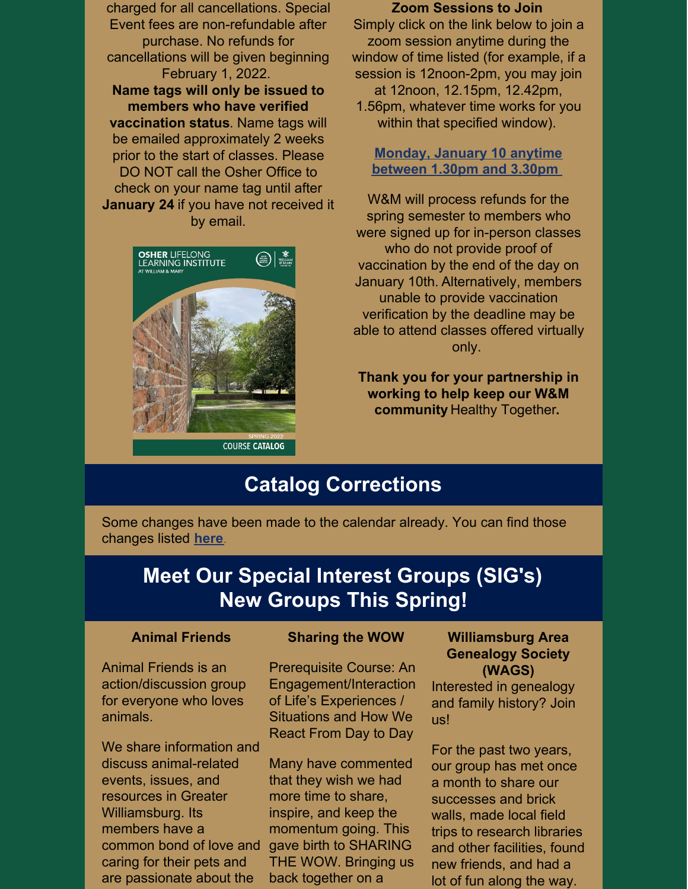charged for all cancellations. Special Event fees are non-refundable after purchase. No refunds for cancellations will be given beginning February 1, 2022. **Name tags will only be issued to members who have verified vaccination status**. Name tags will be emailed approximately 2 weeks prior to the start of classes. Please DO NOT call the Osher Office to check on your name tag until after **January 24** if you have not received it by email.



#### **Zoom Sessions to Join**

Simply click on the link below to join a zoom session anytime during the window of time listed (for example, if a session is 12noon-2pm, you may join at 12noon, 12.15pm, 12.42pm, 1.56pm, whatever time works for you within that specified window).

**[Monday,](https://cwm.zoom.us/j/98077125223) January 10 anytime between 1.30pm and 3.30pm**

W&M will process refunds for the spring semester to members who were signed up for in-person classes who do not provide proof of vaccination by the end of the day on January 10th. Alternatively, members unable to provide vaccination verification by the deadline may be able to attend classes offered virtually only.

**Thank you for your partnership in working to help keep our W&M community** Healthy [Together](https://www.wm.edu/sites/pathforward/health/index.php)**.**

## **Catalog Corrections**

Some changes have been made to the calendar already. You can find those changes listed **[here](https://www.wm.edu/offices/auxiliary/osher/announcements/catalog-changes.php)**.

## **Meet Our Special Interest Groups (SIG's) New Groups This Spring!**

#### **Animal Friends**

Animal Friends is an action/discussion group for everyone who loves animals.

We share information and discuss animal-related events, issues, and resources in Greater Williamsburg. Its members have a common bond of love and caring for their pets and are passionate about the

#### **Sharing the WOW**

Prerequisite Course: An Engagement/Interaction of Life's Experiences / Situations and How We React From Day to Day

Many have commented that they wish we had more time to share, inspire, and keep the momentum going. This gave birth to SHARING THE WOW. Bringing us back together on a

#### **Williamsburg Area Genealogy Society (WAGS)**

Interested in genealogy and family history? Join us!

For the past two years, our group has met once a month to share our successes and brick walls, made local field trips to research libraries and other facilities, found new friends, and had a lot of fun along the way.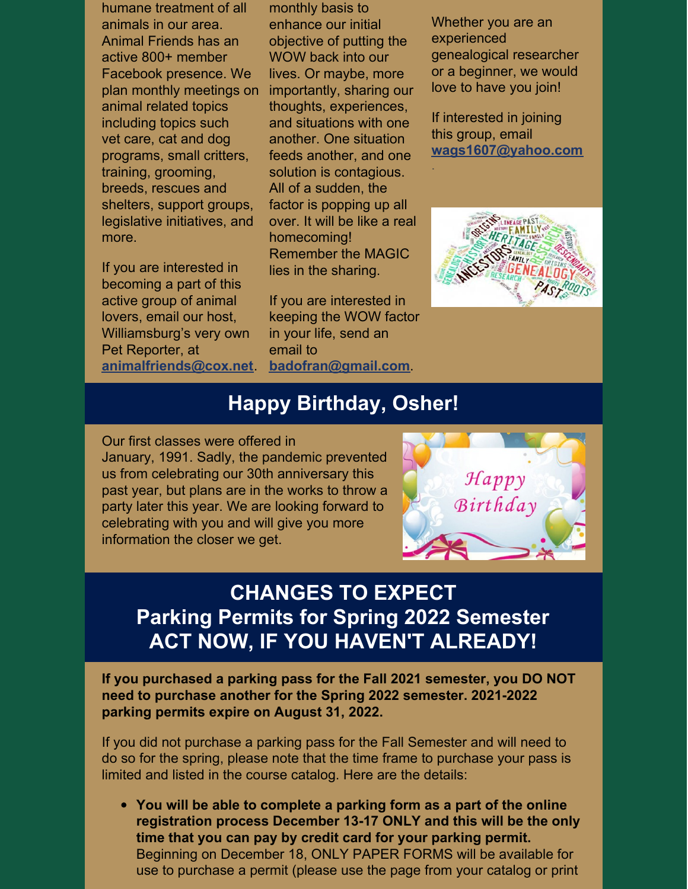humane treatment of all animals in our area. Animal Friends has an active 800+ member Facebook presence. We plan monthly meetings on animal related topics including topics such vet care, cat and dog programs, small critters, training, grooming, breeds, rescues and shelters, support groups, legislative initiatives, and more.

If you are interested in becoming a part of this active group of animal lovers, email our host, Williamsburg's very own Pet Reporter, at **[animalfriends@cox.net](mailto:animalfriends@cox.net)**.

monthly basis to enhance our initial objective of putting the WOW back into our lives. Or maybe, more importantly, sharing our thoughts, experiences, and situations with one another. One situation feeds another, and one solution is contagious. All of a sudden, the factor is popping up all over. It will be like a real homecoming! Remember the MAGIC lies in the sharing.

If you are interested in keeping the WOW factor in your life, send an email to **[badofran@gmail.com](mailto:badofran@gmail.com)**.

Whether you are an experienced genealogical researcher or a beginner, we would love to have you join!

If interested in joining this group, email **[wags1607@yahoo.com](mailto:wags1607@yahoo.com)**

.



### **Happy Birthday, Osher!**

Our first classes were offered in January, 1991. Sadly, the pandemic prevented us from celebrating our 30th anniversary this past year, but plans are in the works to throw a party later this year. We are looking forward to celebrating with you and will give you more information the closer we get.



## **CHANGES TO EXPECT Parking Permits for Spring 2022 Semester ACT NOW, IF YOU HAVEN'T ALREADY!**

**If you purchased a parking pass for the Fall 2021 semester, you DO NOT need to purchase another for the Spring 2022 semester. 2021-2022 parking permits expire on August 31, 2022.**

If you did not purchase a parking pass for the Fall Semester and will need to do so for the spring, please note that the time frame to purchase your pass is limited and listed in the course catalog. Here are the details:

**You will be able to complete a parking form as a part of the online registration process December 13-17 ONLY and this will be the only time that you can pay by credit card for your parking permit.** Beginning on December 18, ONLY PAPER FORMS will be available for use to purchase a permit (please use the page from your catalog or print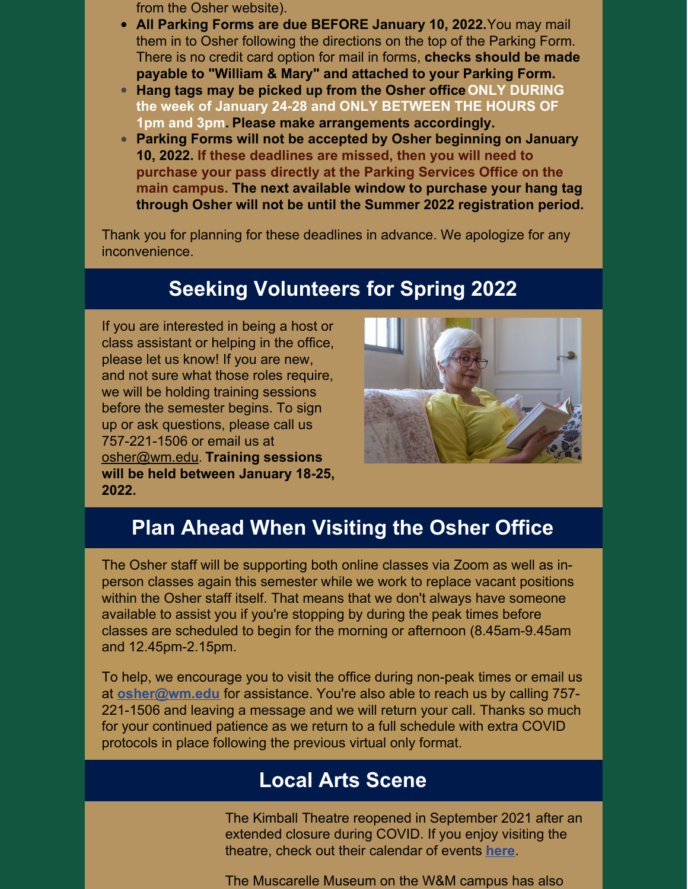- from the Osher website).
- **All Parking Forms are due BEFORE January 10, 2022.**You may mail them in to Osher following the directions on the top of the Parking Form. There is no credit card option for mail in forms, **checks should be made payable to "William & Mary" and attached to your Parking Form.**
- **Hang tags may be picked up from the Osher officeONLY DURING the week of January 24-28 and ONLY BETWEEN THE HOURS OF 1pm and 3pm. Please make arrangements accordingly.**
- **Parking Forms will not be accepted by Osher beginning on January 10, 2022. If these deadlines are missed, then you will need to purchase your pass directly at the Parking Services Office on the main campus. The next available window to purchase your hang tag through Osher will not be until the Summer 2022 registration period.**

Thank you for planning for these deadlines in advance. We apologize for any inconvenience.

## **Seeking Volunteers for Spring 2022**

If you are interested in being a host or class assistant or helping in the office, please let us know! If you are new, and not sure what those roles require, we will be holding training sessions before the semester begins. To sign up or ask questions, please call us 757-221-1506 or email us at [osher@wm.edu](mailto:osher@wm.edu). **Training sessions will be held between January 18-25, 2022.**



## **Plan Ahead When Visiting the Osher Office**

The Osher staff will be supporting both online classes via Zoom as well as inperson classes again this semester while we work to replace vacant positions within the Osher staff itself. That means that we don't always have someone available to assist you if you're stopping by during the peak times before classes are scheduled to begin for the morning or afternoon (8.45am-9.45am and 12.45pm-2.15pm.

To help, we encourage you to visit the office during non-peak times or email us at **[osher@wm.edu](mailto:osher@wm.edu)** for assistance. You're also able to reach us by calling 757- 221-1506 and leaving a message and we will return your call. Thanks so much for your continued patience as we return to a full schedule with extra COVID protocols in place following the previous virtual only format.

### **Local Arts Scene**

The Kimball Theatre reopened in September 2021 after an extended closure during COVID. If you enjoy visiting the theatre, check out their calendar of events **[here](https://events.wm.edu/calendar/upcoming/kimball/)**.

The Muscarelle Museum on the W&M campus has also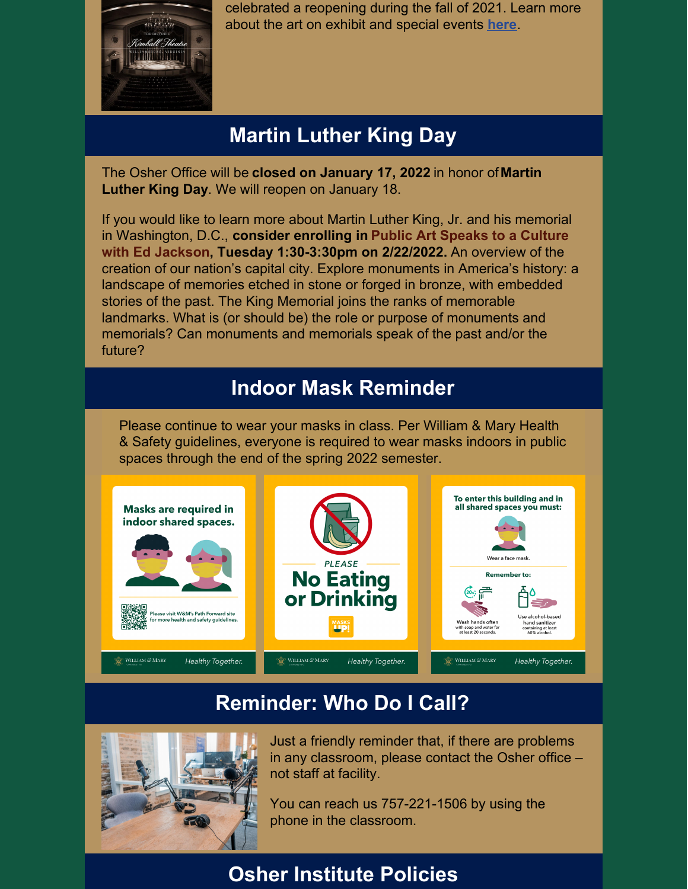

celebrated a reopening during the fall of 2021. Learn more about the art on exhibit and special events **[here](https://events.wm.edu/event/view/kimball/126609)**.

# **Martin Luther King Day**

The Osher Office will be **closed on January 17, 2022** in honor of**Martin Luther King Day**. We will reopen on January 18.

If you would like to learn more about Martin Luther King, Jr. and his memorial in Washington, D.C., **consider enrolling in Public Art Speaks to a Culture with Ed Jackson, Tuesday 1:30-3:30pm on 2/22/2022.** An overview of the creation of our nation's capital city. Explore monuments in America's history: a landscape of memories etched in stone or forged in bronze, with embedded stories of the past. The King Memorial joins the ranks of memorable landmarks. What is (or should be) the role or purpose of monuments and memorials? Can monuments and memorials speak of the past and/or the future?

## **Indoor Mask Reminder**

Please continue to wear your masks in class. Per William & Mary Health & Safety guidelines, everyone is required to wear masks indoors in public spaces through the end of the spring 2022 semester.



## **Reminder: Who Do I Call?**



Just a friendly reminder that, if there are problems in any classroom, please contact the Osher office – not staff at facility.

You can reach us 757-221-1506 by using the phone in the classroom.

# **Osher Institute Policies**